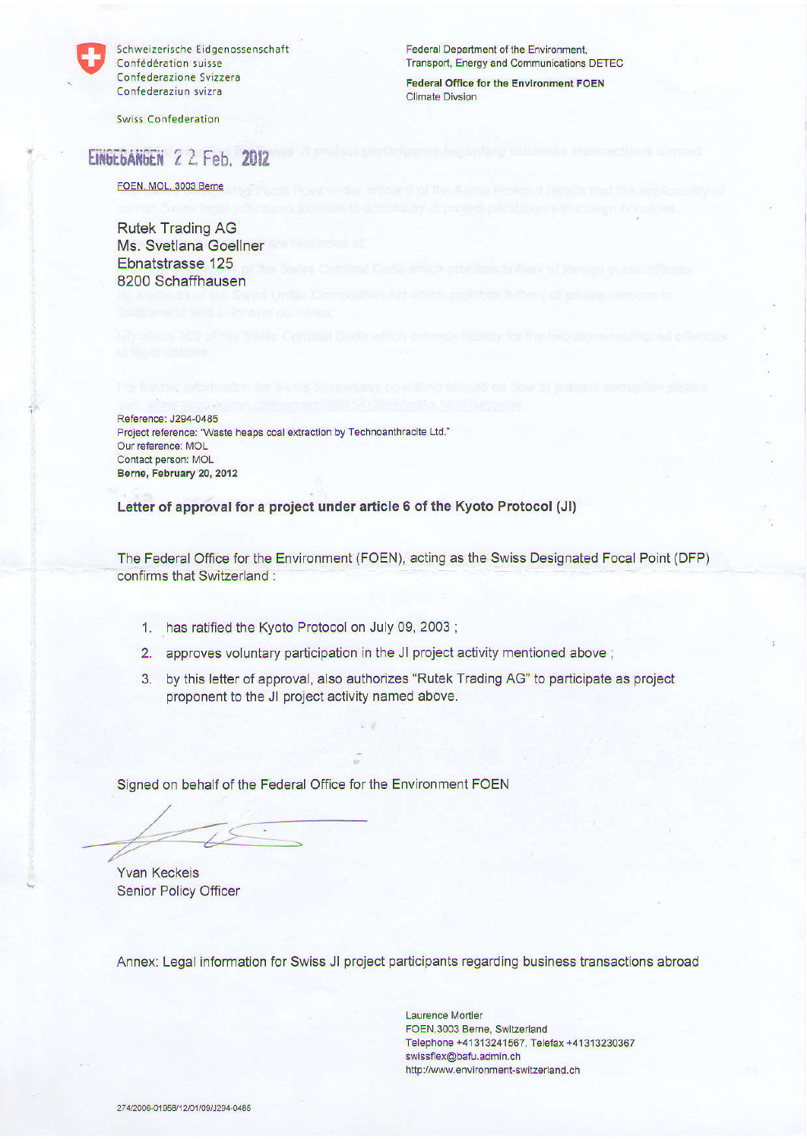

Schweizerische Eidgenossenschaft Confédération suisse Confederazione Svizzera Confederaziun svizra

**Swiss Confederation** 

Federal Department of the Environment, Transport, Energy and Communications DETEC

**Federal Office for the Environment FOEN Climate Divsion** 

# EINDEDANDEN 22. Feb. 2012

FOEN, MOL, 3003 Berne

**Rutek Trading AG** Ms. Svetlana Goellner Ebnatstrasse 125 8200 Schaffhausen

Reference: J294-0485 Project reference: "Waste heaps coal extraction by Technoanthracite Ltd." Our reference: MOL Contact person: MOL Berne, February 20, 2012

Letter of approval for a project under article 6 of the Kyoto Protocol (JI)

The Federal Office for the Environment (FOEN), acting as the Swiss Designated Focal Point (DFP) confirms that Switzerland:

- 1. has ratified the Kyoto Protocol on July 09, 2003;
- 2. approves voluntary participation in the JI project activity mentioned above ;
- 3. by this letter of approval, also authorizes "Rutek Trading AG" to participate as project proponent to the JI project activity named above.

Signed on behalf of the Federal Office for the Environment FOEN

**Yvan Keckeis Senior Policy Officer** 

Annex: Legal information for Swiss JI project participants regarding business transactions abroad

**Laurence Mortier** FOEN, 3003 Berne, Switzerland Telephone +41313241567, Telefax +41313230367 swissflex@bafu.admin.ch http://www.environment-switzerland.ch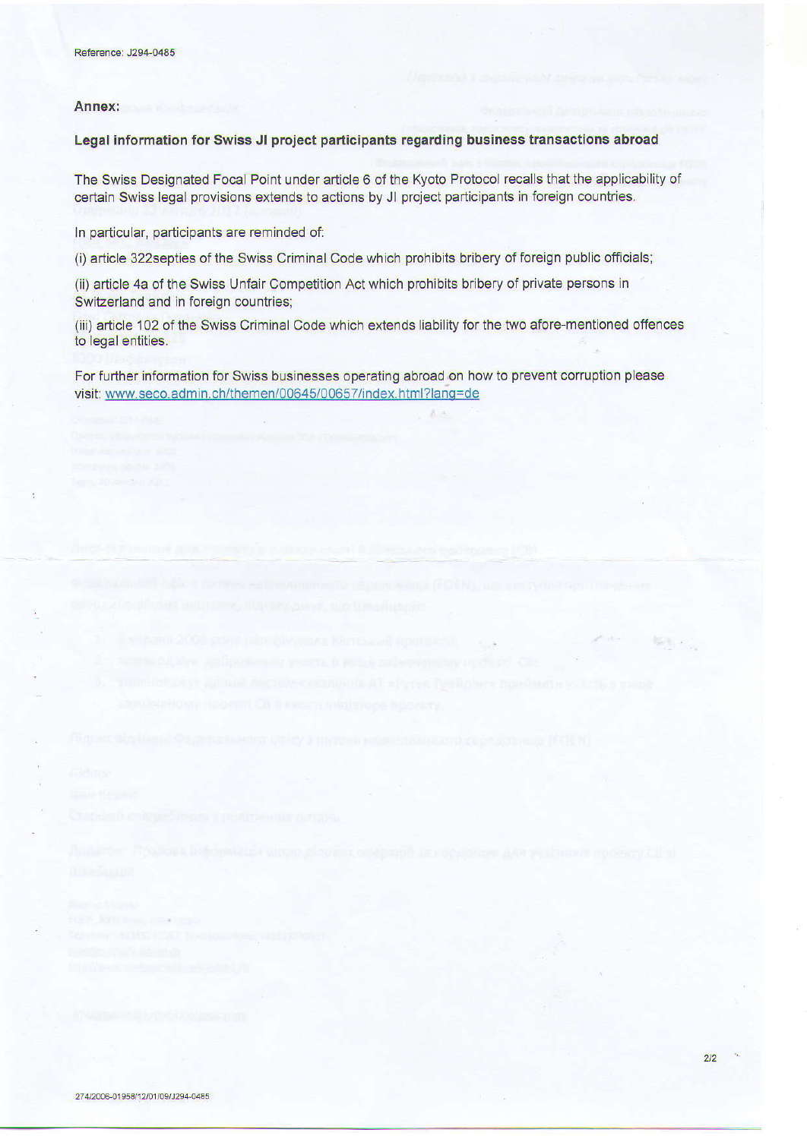#### Annex:

## Legal information for Swiss JI project participants regarding business transactions abroad

The Swiss Designated Focal Point under article 6 of the Kyoto Protocol recalls that the applicability of certain Swiss legal provisions extends to actions by JI project participants in foreign countries.

In particular, participants are reminded of:

(i) article 322 septies of the Swiss Criminal Code which prohibits bribery of foreign public officials;

(ii) article 4a of the Swiss Unfair Competition Act which prohibits bribery of private persons in Switzerland and in foreign countries;

(iii) article 102 of the Swiss Criminal Code which extends liability for the two afore-mentioned offences to legal entities.

For further information for Swiss businesses operating abroad on how to prevent corruption please visit: www.seco.admin.ch/themen/00645/00657/index.html?lang=de

最もの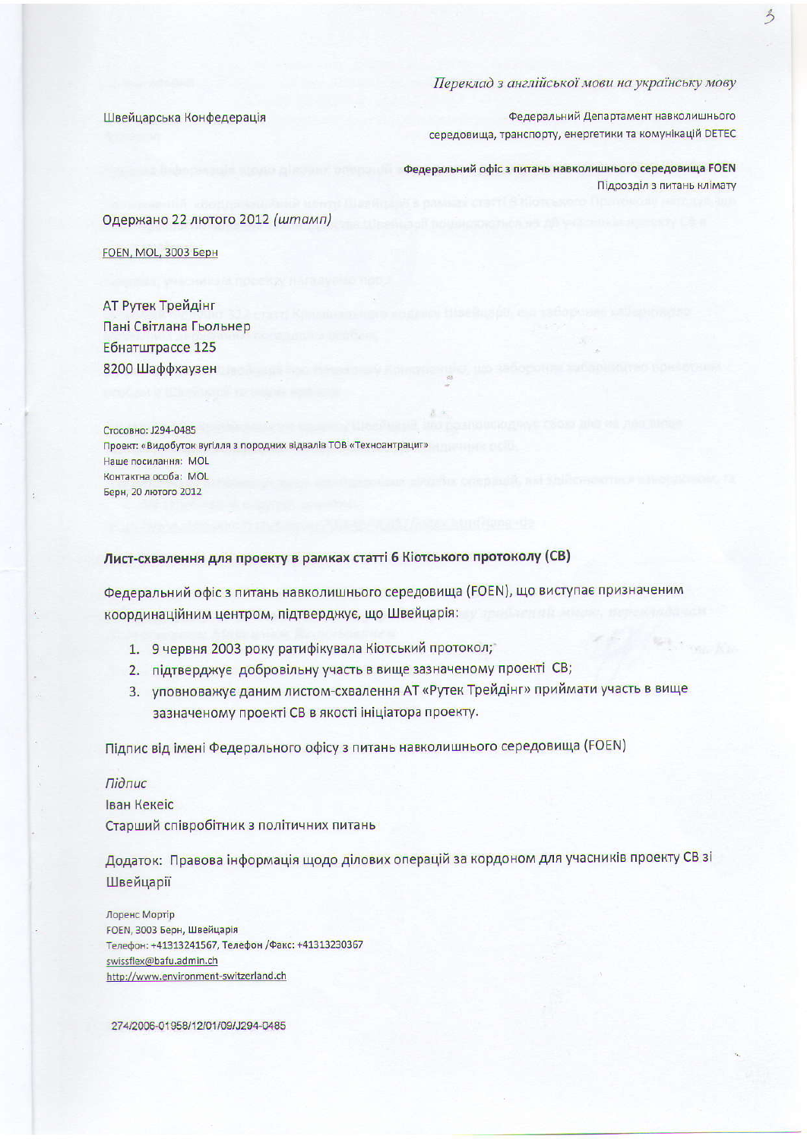## Переклад з англійської мови на українську мову

Швейцарська Конфедерація

Федеральний Департамент навколишнього середовища, транспорту, енергетики та комунікацій DETEC

Федеральний офіс з питань навколишнього середовища FOEN Підрозділ з питань клімату

Одержано 22 лютого 2012 (штамп)

FOEN, MOL, 3003 Берн

АТ Рутек Трейдінг Пані Світлана Гьольнер Ебнатштрассе 125 8200 Шаффхаузен

Стосовно: J294-0485 Проект: «Видобуток вугілля з породних відвалів ТОВ «Техноантрацит» Наше посилання: MOL Контактна особа: MOL Берн, 20 лютого 2012

## Лист-схвалення для проекту в рамках статті 6 Кіотського протоколу (СВ)

Федеральний офіс з питань навколишнього середовища (FOEN), що виступає призначеним координаційним центром, підтверджує, що Швейцарія:

- 1. 9 червня 2003 року ратифікувала Кіотський протокол;
- 2. підтверджує добровільну участь в вище зазначеному проекті СВ;
- 3. уповноважує даним листом-схвалення АТ «Рутек Трейдінг» приймати участь в вище зазначеному проекті СВ в якості ініціатора проекту.

Підпис від імені Федерального офісу з питань навколишнього середовища (FOEN)

#### $T$ *idnuc*

Іван Кекеіс

Старший співробітник з політичних питань

Додаток: Правова інформація щодо ділових операцій за кордоном для учасників проекту СВ зі Швейцарії

Лоренс Мортір FOEN, 3003 Берн, Швейцарія Телефон: +41313241567, Телефон /Факс: +41313230367 swissflex@bafu.admin.ch http://www.environment-switzerland.ch

274/2006-01958/12/01/09/J294-0485

 $\mathcal{Z}$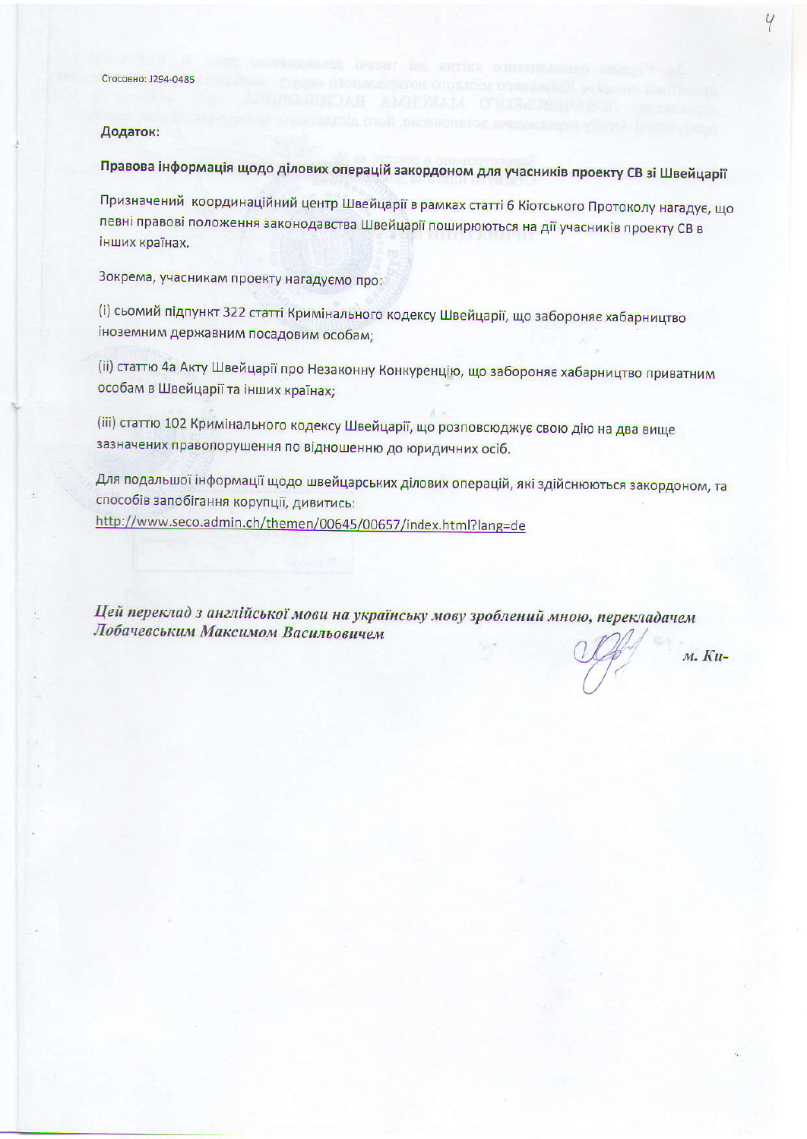### Додаток:

Правова інформація щодо ділових операцій закордоном для учасників проекту СВ зі Швейцарії

Призначений координаційний центр Швейцарії в рамках статті 6 Кіотського Протоколу нагадує, що певні правові положення законодавства Швейцарії поширюються на дії учасників проекту СВ в інших країнах.

Зокрема, учасникам проекту нагадуємо про:

(і) сьомий підпункт 322 статті Кримінального кодексу Швейцарії, що забороняє хабарництво іноземним державним посадовим особам;

(ii) статтю 4а Акту Швейцарії про Незаконну Конкуренцію, що забороняє хабарництво приватним особам в Швейцарії та інших країнах;

(iii) статтю 102 Кримінального кодексу Швейцарії, що розповсюджує свою дію на два вище зазначених правопорушення по відношенню до юридичних осіб.

Для подальшої інформації щодо швейцарських ділових операцій, які здійснюються закордоном, та способів запобігання корупції, дивитись: http://www.seco.admin.ch/themen/00645/00657/index.html?lang=de

Цей переклад з англійської мови на українську мову зроблений мною, перекладачем Лобачевським Максимом Васильовичем

м. Ки-